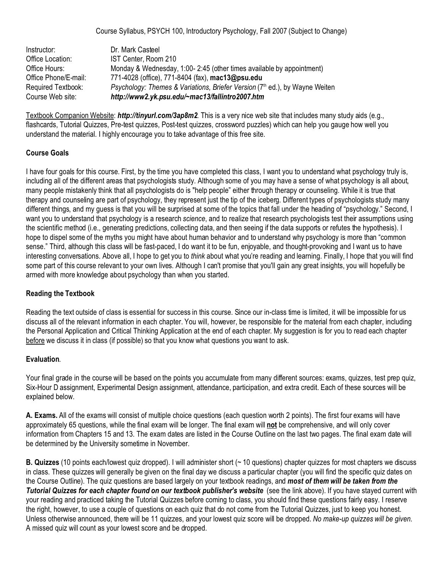Course Syllabus, PSYCH 100, Introductory Psychology, Fall 2007 (Subject to Change)

| Instructor:          | Dr. Mark Casteel                                                                        |
|----------------------|-----------------------------------------------------------------------------------------|
| Office Location:     | IST Center, Room 210                                                                    |
| Office Hours:        | Monday & Wednesday, 1:00-2:45 (other times available by appointment)                    |
| Office Phone/E-mail: | 771-4028 (office), 771-8404 (fax), mac13@psu.edu                                        |
| Required Textbook:   | Psychology: Themes & Variations, Briefer Version (7 <sup>th</sup> ed.), by Wayne Weiten |
| Course Web site:     | http://www2.yk.psu.edu/~mac13/fallintro2007.htm                                         |

Textbook Companion Website: *http://tinyurl.com/3ap8m2*. This is a very nice web site that includes many study aids (e.g., flashcards, Tutorial Quizzes, Pre-test quizzes, Post-test quizzes, crossword puzzles) which can help you gauge how well you understand the material. I highly encourage you to take advantage of this free site.

## **Course Goals**

I have four goals for this course. First, by the time you have completed this class, I want you to understand what psychology truly is, including all of the different areas that psychologists study. Although some of you may have a sense of what psychology is all about, many people mistakenly think that all psychologists do is "help people" either through therapy or counseling. While it is true that therapy and counseling are part of psychology, they represent just the tip of the iceberg. Different types of psychologists study many different things, and my guess is that you will be surprised at some of the topics that fall under the heading of "psychology." Second, I want you to understand that psychology is a research *science*, and to realize that research psychologists test their assumptions using the scientific method (i.e., generating predictions, collecting data, and then seeing if the data supports or refutes the hypothesis). I hope to dispel some of the myths you might have about human behavior and to understand why psychology is more than "common sense." Third, although this class will be fast-paced, I do want it to be fun, enjoyable, and thought-provoking and I want us to have interesting conversations. Above all, I hope to get you to *think* about what you're reading and learning. Finally, I hope that you will find some part of this course relevant to your own lives. Although I can't promise that you'll gain any great insights, you will hopefully be armed with more knowledge about psychology than when you started.

### **Reading the Textbook**

Reading the text outside of class is essential for success in this course. Since our in-class time is limited, it will be impossible for us discuss all of the relevant information in each chapter. You will, however, be responsible for the material from each chapter, including the Personal Application and Critical Thinking Application at the end of each chapter. My suggestion is for you to read each chapter before we discuss it in class (if possible) so that you know what questions you want to ask.

### **Evaluation**.

Your final grade in the course will be based on the points you accumulate from many different sources: exams, quizzes, test prep quiz, Six-Hour D assignment, Experimental Design assignment, attendance, participation, and extra credit. Each of these sources will be explained below.

**A. Exams.** All of the exams will consist of multiple choice questions (each question worth 2 points). The first four exams will have approximately 65 questions, while the final exam will be longer. The final exam will **not** be comprehensive, and will only cover information from Chapters 15 and 13. The exam dates are listed in the Course Outline on the last two pages. The final exam date will be determined by the University sometime in November.

**B. Quizzes** (10 points each/lowest quiz dropped). I will administer short (~ 10 questions) chapter quizzes for most chapters we discuss in class. These quizzes will generally be given on the final day we discuss a particular chapter (you will find the specific quiz dates on the Course Outline). The quiz questions are based largely on your textbook readings, and *most of them will be taken from the Tutorial Quizzes for each chapter found on our textbook publisher's website (see the link above). If you have stayed current with* your reading and practiced taking the Tutorial Quizzes before coming to class, you should find these questions fairly easy. I reserve the right, however, to use a couple of questions on each quiz that do not come from the Tutorial Quizzes, just to keep you honest. Unless otherwise announced, there will be 11 quizzes, and your lowest quiz score will be dropped. *No make-up quizzes will be given.* A missed quiz will count as your lowest score and be dropped.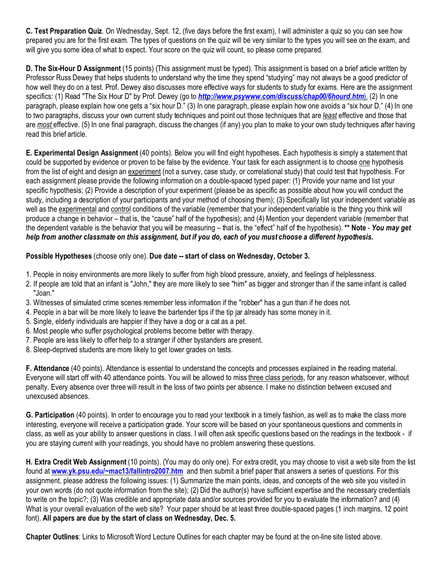**C. Test Preparation Quiz**. On Wednesday, Sept. 12, (five days before the first exam), I will administer a quiz so you can see how prepared you are for the first exam. The types of questions on the quiz will be very similar to the types you will see on the exam, and will give you some idea of what to expect. Your score on the quiz will count, so please come prepared.

**D. The Six-Hour D Assignment** (15 points) (This assignment must be typed). This assignment is based on a brief article written by Professor Russ Dewey that helps students to understand why the time they spend "studying" may not always be a good predictor of how well they do on a test. Prof. Dewey also discusses more effective ways for students to study for exams. Here are the assignment specifics: (1) Read "The Six Hour D" by Prof. Dewey (go to *[http://www.psywww.com/discuss/chap00/6hourd.htm](http://www.psywww.com/discuss/chap00/6hourd.htm).)*). (2) In one paragraph, please explain how one gets a "six hour D." (3) In one paragraph, please explain how one avoids a "six hour D." (4) In one to two paragraphs, discuss your own current study techniques and point out those techniques that are *least* effective and those that are *most* effective. (5) In one final paragraph, discuss the changes (if any) you plan to make to your own study techniques after having read this brief article.

**E. Experimental Design Assignment** (40 points). Below you will find eight hypotheses. Each hypothesis is simply a statement that could be supported by evidence or proven to be false by the evidence. Your task for each assignment is to choose one hypothesis from the list of eight and design an experiment (not a survey, case study, or correlational study) that could test that hypothesis. For each assignment please provide the following information on a double-spaced typed paper: (1) Provide your name and list your specific hypothesis; (2) Provide a description of your experiment (please be as specific as possible about how you will conduct the study, including a description of your participants and your method of choosing them); (3) Specifically list your independent variable as well as the experimental and control conditions of the variable (remember that your independent variable is the thing you think will produce a change in behavior – that is, the "cause" half of the hypothesis); and (4) Mention your dependent variable (remember that the dependent variable is the behavior that you will be measuring – that is, the "effect" half of the hypothesis). **\*\* Note** - *You may get help from another classmate on this assignment, but if you do, each of you must choose a different hypothesis.*

# **Possible Hypotheses** (choose only one). **Due date -- start of class on Wednesday, October 3.**

- 1. People in noisy environments are more likely to suffer from high blood pressure, anxiety, and feelings of helplessness.
- 2. If people are told that an infant is "John," they are more likely to see "him" as bigger and stronger than if the same infant is called "Joan."
- 3. Witnesses of simulated crime scenes remember less information if the "robber" has a gun than if he does not.
- 4. People in a bar will be more likely to leave the bartender tips if the tip jar already has some money in it.
- 5. Single, elderly individuals are happier if they have a dog or a cat as a pet.
- 6. Most people who suffer psychological problems become better with therapy.
- 7. People are less likely to offer help to a stranger if other bystanders are present.
- 8. Sleep-deprived students are more likely to get lower grades on tests.

**F. Attendance** (40 points). Attendance is essential to understand the concepts and processes explained in the reading material. Everyone will start off with 40 attendance points. You will be allowed to miss three class periods, for any reason whatsoever, without penalty. Every absence over three will result in the loss of two points per absence. I make no distinction between excused and unexcused absences.

**G. Participation** (40 points). In order to encourage you to read your textbook in a timely fashion, as well as to make the class more interesting, everyone will receive a participation grade. Your score will be based on your spontaneous questions and comments in class, as well as your ability to answer questions in class. I will often ask specific questions based on the readings in the textbook - if you are staying current with your readings, you should have no problem answering these questions.

**H. Extra Credit Web Assignment** (10 points). (You may do only one). For extra credit, you may choose to visit a web site from the list found at **[www.yk.psu.edu/~mac13/fallintro2007.htm](http://(http://www.yk.psu.edu/~mac13/intro.htm).)** and then submit a brief paper that answers a series of questions. For this assignment, please address the following issues: (1) Summarize the main points, ideas, and concepts of the web site you visited in your own words (do not quote information from the site); (2) Did the author(s) have sufficient expertise and the necessary credentials to write on the topic?; (3) Was credible and appropriate data and/or sources provided for you to evaluate the information? and (4) What is your overall evaluation of the web site? Your paper should be at least three double-spaced pages (1 inch margins, 12 point font). **All papers are due by the start of class on Wednesday, Dec. 5.** 

**Chapter Outlines**: Links to Microsoft Word Lecture Outlines for each chapter may be found at the on-line site listed above.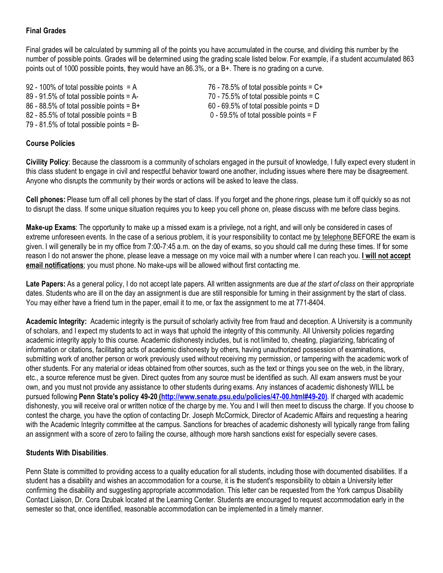# **Final Grades**

Final grades will be calculated by summing all of the points you have accumulated in the course, and dividing this number by the number of possible points. Grades will be determined using the grading scale listed below. For example, if a student accumulated 863 points out of 1000 possible points, they would have an 86.3%, or a B+. There is no grading on a curve.

92 - 100% of total possible points  $= A$  76 - 78.5% of total possible points  $= C +$ 89 - 91.5% of total possible points = A- 70 - 75.5% of total possible points = C 86 - 88.5% of total possible points = B+ 60 - 69.5% of total possible points = D 82 - 85.5% of total possible points = B 0 - 59.5% of total possible points = F 79 - 81.5% of total possible points = B-

## **Course Policies**

**Civility Policy**: Because the classroom is a community of scholars engaged in the pursuit of knowledge, I fully expect every student in this class student to engage in civil and respectful behavior toward one another, including issues where there may be disagreement. Anyone who disrupts the community by their words or actions will be asked to leave the class.

**Cell phones:** Please turn off all cell phones by the start of class. If you forget and the phone rings, please turn it off quickly so as not to disrupt the class. If some unique situation requires you to keep you cell phone on, please discuss with me before class begins.

**Make-up Exams**: The opportunity to make up a missed exam is a privilege, not a right, and will only be considered in cases of extreme unforeseen events. In the case of a serious problem, it is your responsibility to contact me by telephone BEFORE the exam is given. I will generally be in my office from 7:00-7:45 a.m. on the day of exams, so you should call me during these times. If for some reason I do not answer the phone, please leave a message on my voice mail with a number where I can reach you. **I will not accept email notifications**; you must phone. No make-ups will be allowed without first contacting me.

**Late Papers:** As a general policy, I do not accept late papers. All written assignments are due *at the start of class* on their appropriate dates. Students who are ill on the day an assignment is due are still responsible for turning in their assignment by the start of class. You may either have a friend turn in the paper, email it to me, or fax the assignment to me at 771-8404.

**Academic Integrity:** Academic integrity is the pursuit of scholarly activity free from fraud and deception. A University is a community of scholars, and I expect my students to act in ways that uphold the integrity of this community. All University policies regarding academic integrity apply to this course. Academic dishonesty includes, but is not limited to, cheating, plagiarizing, fabricating of information or citations, facilitating acts of academic dishonesty by others, having unauthorized possession of examinations, submitting work of another person or work previously used without receiving my permission, or tampering with the academic work of other students. For any material or ideas obtained from other sources, such as the text or things you see on the web, in the library, etc., a source reference must be given. Direct quotes from any source must be identified as such. All exam answers must be your own, and you must not provide any assistance to other students during exams. Any instances of academic dishonesty WILL be pursued following **Penn State's policy 49-20 [\(http://www.senate.psu.edu/policies/47-00.html#49-20\)](http://(www.psu.edu/dept/oue/aappm/G-9.html).)**. If charged with academic dishonesty, you will receive oral or written notice of the charge by me. You and I will then meet to discuss the charge. If you choose to contest the charge, you have the option of contacting Dr. Joseph McCormick, Director of Academic Affairs and requesting a hearing with the Academic Integrity committee at the campus. Sanctions for breaches of academic dishonesty will typically range from failing an assignment with a score of zero to failing the course, although more harsh sanctions exist for especially severe cases.

## **Students With Disabilities**.

Penn State is committed to providing access to a quality education for all students, including those with documented disabilities. If a student has a disability and wishes an accommodation for a course, it is the student's responsibility to obtain a University letter confirming the disability and suggesting appropriate accommodation. This letter can be requested from the York campus Disability Contact Liaison, Dr. Cora Dzubak located at the Learning Center. Students are encouraged to request accommodation early in the semester so that, once identified, reasonable accommodation can be implemented in a timely manner.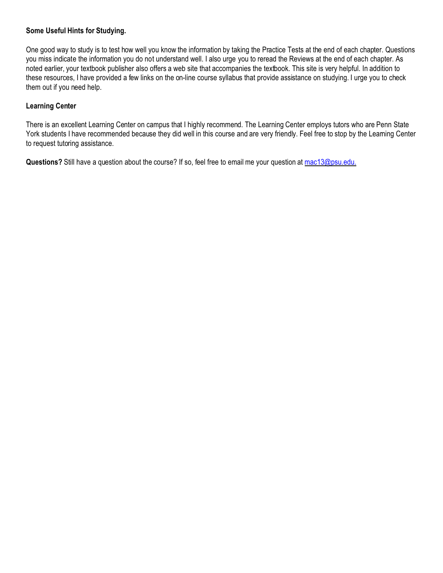## **Some Useful Hints for Studying.**

One good way to study is to test how well you know the information by taking the Practice Tests at the end of each chapter. Questions you miss indicate the information you do not understand well. I also urge you to reread the Reviews at the end of each chapter. As noted earlier, your textbook publisher also offers a web site that accompanies the textbook. This site is very helpful. In addition to these resources, I have provided a few links on the on-line course syllabus that provide assistance on studying. I urge you to check them out if you need help.

## **Learning Center**

There is an excellent Learning Center on campus that I highly recommend. The Learning Center employs tutors who are Penn State York students I have recommended because they did well in this course and are very friendly. Feel free to stop by the Learning Center to request tutoring assistance.

**Questions?** Still have a question about the course? If so, feel free to email me your question at [mac13@psu.edu.](mailto:mac13@psu.edu.)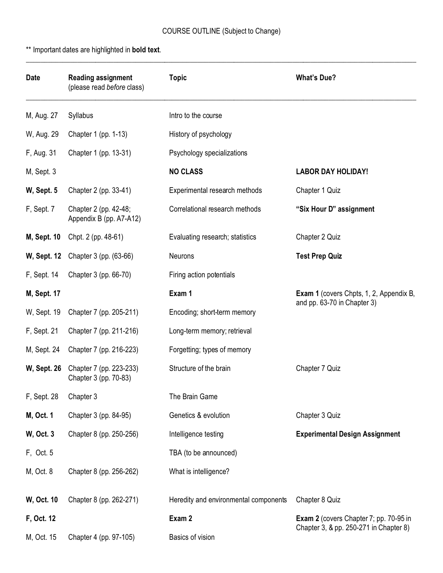\_\_\_\_\_\_\_\_\_\_\_\_\_\_\_\_\_\_\_\_\_\_\_\_\_\_\_\_\_\_\_\_\_\_\_\_\_\_\_\_\_\_\_\_\_\_\_\_\_\_\_\_\_\_\_\_\_\_\_\_\_\_\_\_\_\_\_\_\_\_\_\_\_\_\_\_\_\_\_\_\_\_\_\_\_\_\_\_\_\_\_\_\_\_\_\_\_\_\_\_\_\_\_\_\_\_\_

\*\* Important dates are highlighted in **bold text**.

| <b>Date</b>        | <b>Reading assignment</b><br>(please read before class)             | <b>Topic</b>                          | <b>What's Due?</b>                                                                      |
|--------------------|---------------------------------------------------------------------|---------------------------------------|-----------------------------------------------------------------------------------------|
| M, Aug. 27         | Syllabus                                                            | Intro to the course                   |                                                                                         |
| W, Aug. 29         | Chapter 1 (pp. 1-13)                                                | History of psychology                 |                                                                                         |
| F, Aug. 31         | Chapter 1 (pp. 13-31)                                               | Psychology specializations            |                                                                                         |
| M, Sept. 3         |                                                                     | <b>NO CLASS</b>                       | <b>LABOR DAY HOLIDAY!</b>                                                               |
| W, Sept. 5         | Chapter 2 (pp. 33-41)                                               | Experimental research methods         | Chapter 1 Quiz                                                                          |
| F, Sept. 7         | Chapter 2 (pp. 42-48;<br>Appendix B (pp. A7-A12)                    | Correlational research methods        | "Six Hour D" assignment                                                                 |
| <b>M, Sept. 10</b> | Chpt. 2 (pp. 48-61)                                                 | Evaluating research; statistics       | Chapter 2 Quiz                                                                          |
|                    | <b>W, Sept. 12</b> Chapter 3 (pp. (63-66)                           | Neurons                               | <b>Test Prep Quiz</b>                                                                   |
| F, Sept. 14        | Chapter 3 (pp. 66-70)                                               | Firing action potentials              |                                                                                         |
| <b>M, Sept. 17</b> |                                                                     | Exam 1                                | <b>Exam 1</b> (covers Chpts, 1, 2, Appendix B,                                          |
| W, Sept. 19        | Chapter 7 (pp. 205-211)                                             | Encoding; short-term memory           | and pp. 63-70 in Chapter 3)                                                             |
| F, Sept. 21        | Chapter 7 (pp. 211-216)                                             | Long-term memory; retrieval           |                                                                                         |
| M, Sept. 24        | Chapter 7 (pp. 216-223)                                             | Forgetting; types of memory           |                                                                                         |
|                    | <b>W, Sept. 26</b> Chapter 7 (pp. 223-233)<br>Chapter 3 (pp. 70-83) | Structure of the brain                | Chapter 7 Quiz                                                                          |
| F, Sept. 28        | Chapter 3                                                           | The Brain Game                        |                                                                                         |
| M, Oct. 1          | Chapter 3 (pp. 84-95)                                               | Genetics & evolution                  | Chapter 3 Quiz                                                                          |
| <b>W</b> , Oct. 3  | Chapter 8 (pp. 250-256)                                             | Intelligence testing                  | <b>Experimental Design Assignment</b>                                                   |
| F, Oct. 5          |                                                                     | TBA (to be announced)                 |                                                                                         |
| M, Oct. 8          | Chapter 8 (pp. 256-262)                                             | What is intelligence?                 |                                                                                         |
| W, Oct. 10         | Chapter 8 (pp. 262-271)                                             | Heredity and environmental components | Chapter 8 Quiz                                                                          |
| F, Oct. 12         |                                                                     | Exam 2                                | <b>Exam 2</b> (covers Chapter 7; pp. 70-95 in<br>Chapter 3, & pp. 250-271 in Chapter 8) |
| M, Oct. 15         | Chapter 4 (pp. 97-105)<br>Basics of vision                          |                                       |                                                                                         |